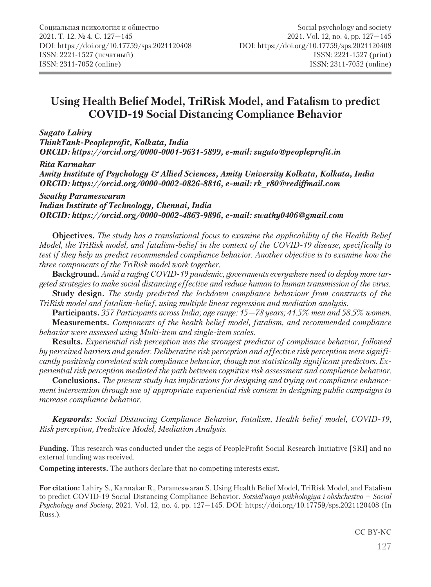# **Using Health Belief Model, TriRisk Model, and Fatalism to predict COVID-19 Social Distancing Compliance Behavior**

#### *Sugato Lahiry*

*ThinkTank-Peopleprofit, Kolkata, India ORCID: https://orcid.org/0000-0001-9631-5899, e-mail: sugato@peopleprofit.in*

#### *Rita Karmakar*

*Amity Institute of Psychology & Allied Sciences, Amity University Kolkata, Kolkata, India ORCID: https://orcid.org/0000-0002-0826-8816, e-mail: rk\_r80@rediffmail.com*

*Swathy Parameswaran Indian Institute of Technology, Chennai, India ORCID: https://orcid.org/0000-0002-4863-9896, e-mail: swathy0406@gmail.com*

**Objectives.** *The study has a translational focus to examine the applicability of the Health Belief Model, the TriRisk model, and fatalism-belief in the context of the COVID-19 disease, specifically to test if they help us predict recommended compliance behavior. Another objective is to examine how the three components of the TriRisk model work together.*

**Background.** *Amid a raging COVID-19 pandemic, governments everywhere need to deploy more targeted strategies to make social distancing effective and reduce human to human transmission of the virus.*

**Study design.** *The study predicted the lockdown compliance behaviour from constructs of the TriRisk model and fatalism-belief, using multiple linear regression and mediation analysis.*

**Participants.** *357 Participants across India; age range: 15—78 years; 41.5% men and 58.5% women.* **Measurements.** *Components of the health belief model, fatalism, and recommended compliance behavior were assessed using Multi-item and single-item scales.*

**Results.** *Experiential risk perception was the strongest predictor of compliance behavior, followed by perceived barriers and gender. Deliberative risk perception and affective risk perception were significantly positively correlated with compliance behavior, though not statistically significant predictors. Experiential risk perception mediated the path between cognitive risk assessment and compliance behavior.*

**Conclusions.** *The present study has implications for designing and trying out compliance enhancement intervention through use of appropriate experiential risk content in designing public campaigns to increase compliance behavior.*

*Keywords: Social Distancing Compliance Behavior, Fatalism, Health belief model, COVID-19, Risk perception, Predictive Model, Mediation Analysis.*

**Funding.** This research was conducted under the aegis of PeopleProfit Social Research Initiative [SRI] and no external funding was received.

**Competing interests.** The authors declare that no competing interests exist.

**For citation:** Lahiry S., Karmakar R., Parameswaran S. Using Health Belief Model, TriRisk Model, and Fatalism to predict COVID-19 Social Distancing Compliance Behavior. *Sotsial'naya psikhologiya i obshchestvo = Social Psychology and Society*, 2021. Vol. 12, no. 4, pp. 127—145. DOI: https://doi.org/10.17759/sps.2021120408 (In Russ.).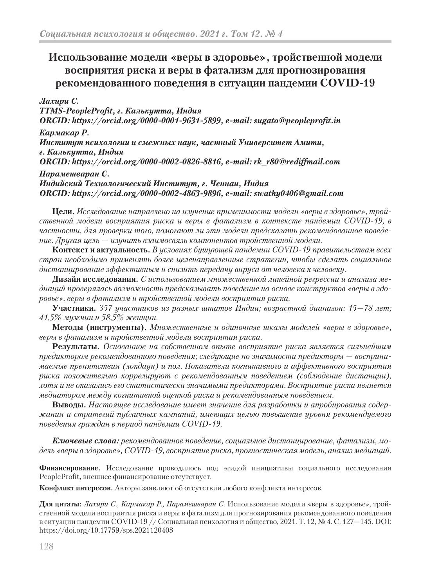# **Использование модели «веры в здоровье», тройственной модели восприятия риска и веры в фатализм для прогнозирования рекомендованного поведения в ситуации пандемии COVID-19**

*Лахири С. TTMS-PeopleProfit, г. Калькутта, Индия ORCID: https://orcid.org/0000-0001-9631-5899, e-mail: sugato@peopleprofit.in Кармакар Р. Институт психологии и смежных наук, частный Университет Амити, г. Калькутта, Индия ORCID: https://orcid.org/0000-0002-0826-8816, e-mail: rk\_r80@rediffmail.com Парамешваран С. Индийский Технологический Институт, г. Ченнаи, Индия ORCID: https://orcid.org/0000-0002-4863-9896, e-mail: swathy0406@gmail.com*

**Цели.** *Исследование направлено на изучение применимости модели «веры в здоровье», тройственной модели восприятия риска и веры в фатализм в контексте пандемии COVID-19, в частности, для проверки того, помогают ли эти модели предсказать рекомендованное поведение. Другая цель — изучить взаимосвязь компонентов тройственной модели.*

**Контекст и актуальность.** *В условиях бушующей пандемии COVID-19 правительствам всех стран необходимо применять более целенаправленные стратегии, чтобы сделать социальное дистанцирование эффективным и снизить передачу вируса от человека к человеку.*

**Дизайн исследования.** *С использованием множественной линейной регрессии и анализа медиаций проверялась возможность предсказывать поведение на основе конструктов «веры в здоровье», веры в фатализм и тройственной модели восприятия риска.*

**Участники.** *357 участников из разных штатов Индии; возрастной диапазон: 15—78 лет; 41,5% мужчин и 58,5% женщин.*

**Методы (инструменты).** *Множественные и одиночные шкалы моделей «веры в здоровье», веры в фатализм и тройственной модели восприятия риска.*

**Результаты.** *Основанное на собственном опыте восприятие риска является сильнейшим предиктором рекомендованного поведения; следующие по значимости предикторы — воспринимаемые препятствия (локдаун) и пол. Показатели когнитивного и аффективного восприятия риска положительно коррелируют с рекомендованным поведением (соблюдение дистанции), хотя и не оказались его статистически значимыми предикторами. Восприятие риска является медиатором между когнитивной оценкой риска и рекомендованным поведением.*

**Выводы.** *Настоящее исследование имеет значение для разработки и апробирования содержания и стратегий публичных кампаний, имеющих целью повышение уровня рекомендуемого поведения граждан в период пандемии COVID-19.*

*Ключевые слова: рекомендованное поведение, социальное дистанцирование, фатализм, модель «веры в здоровье», COVID-19, восприятие риска, прогностическая модель, анализ медиаций.*

**Финансирование.** Исследование проводилось под эгидой инициативы социального исследования PeopleProfit, внешнее финансирование отсутствует.

**Конфликт интересов.** Авторы заявляют об отсутствии любого конфликта интересов.

**Для цитаты:** *Лахири С., Кармакар Р., Парамешваран С.* Использование модели «веры в здоровье», тройственной модели восприятия риска и веры в фатализм для прогнозирования рекомендованного поведения в ситуации пандемии COVID-19 // Социальная психология и общество, 2021. Т. 12, № 4. С. 127—145. DOI: https://doi.org/10.17759/sps.2021120408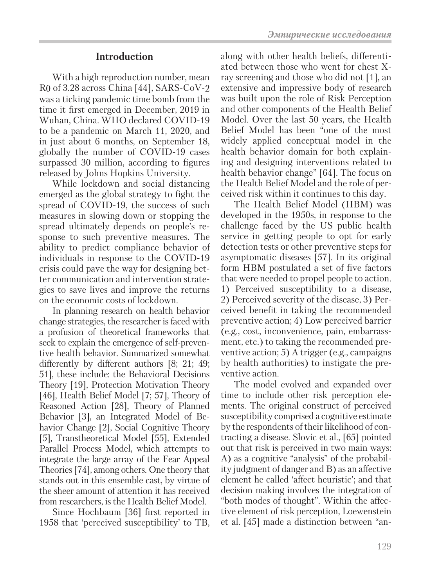With a high reproduction number, mean R0 of 3.28 across China [44], SARS-CoV-2 was a ticking pandemic time bomb from the time it first emerged in December, 2019 in Wuhan, China. WHO declared COVID-19 to be a pandemic on March 11, 2020, and in just about 6 months, on September 18, globally the number of COVID-19 cases surpassed 30 million, according to figures released by Johns Hopkins University.

While lockdown and social distancing emerged as the global strategy to fight the spread of COVID-19, the success of such measures in slowing down or stopping the spread ultimately depends on people's response to such preventive measures. The ability to predict compliance behavior of individuals in response to the COVID-19 crisis could pave the way for designing better communication and intervention strategies to save lives and improve the returns on the economic costs of lockdown.

In planning research on health behavior change strategies, the researcher is faced with a profusion of theoretical frameworks that seek to explain the emergence of self-preventive health behavior. Summarized somewhat differently by different authors [8; 21; 49; 51], these include: the Behavioral Decisions Theory [19], Protection Motivation Theory [46], Health Belief Model [7; 57], Theory of Reasoned Action [28], Theory of Planned Behavior [3], an Integrated Model of Behavior Change [2], Social Cognitive Theory [5], Transtheoretical Model [55], Extended Parallel Process Model, which attempts to integrate the large array of the Fear Appeal Theories [74], among others. One theory that stands out in this ensemble cast, by virtue of the sheer amount of attention it has received from researchers, is the Health Belief Model.

Since Hochbaum [36] first reported in 1958 that 'perceived susceptibility' to TB, along with other health beliefs, differentiated between those who went for chest Xray screening and those who did not [1], an extensive and impressive body of research was built upon the role of Risk Perception and other components of the Health Belief Model. Over the last 50 years, the Health Belief Model has been "one of the most widely applied conceptual model in the health behavior domain for both explaining and designing interventions related to health behavior change" [64]. The focus on

the Health Belief Model and the role of per-

ceived risk within it continues to this day. The Health Belief Model (HBM) was developed in the 1950s, in response to the challenge faced by the US public health service in getting people to opt for early detection tests or other preventive steps for asymptomatic diseases [57]. In its original form HBM postulated a set of five factors that were needed to propel people to action. 1) Perceived susceptibility to a disease, 2) Perceived severity of the disease, 3) Perceived benefit in taking the recommended preventive action; 4) Low perceived barrier (e.g., cost, inconvenience, pain, embarrassment, etc.) to taking the recommended preventive action; 5) A trigger (e.g., campaigns by health authorities) to instigate the preventive action.

The model evolved and expanded over time to include other risk perception elements. The original construct of perceived susceptibility comprised a cognitive estimate by the respondents of their likelihood of contracting a disease. Slovic et al., [65] pointed out that risk is perceived in two main ways: A) as a cognitive "analysis" of the probability judgment of danger and B) as an affective element he called 'affect heuristic'; and that decision making involves the integration of "both modes of thought". Within the affective element of risk perception, Loewenstein et al. [45] made a distinction between "an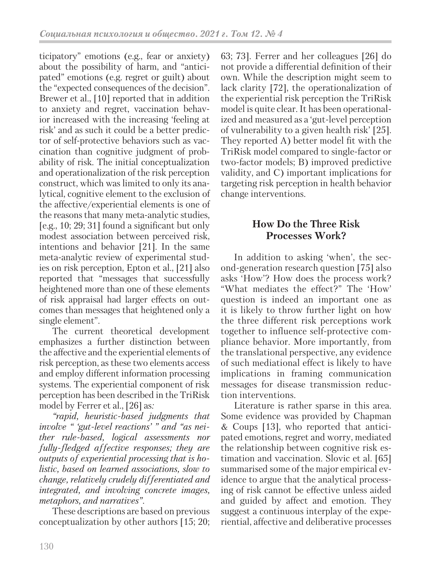ticipatory" emotions (e.g., fear or anxiety) about the possibility of harm, and "anticipated" emotions (e.g. regret or guilt) about the "expected consequences of the decision". Brewer et al., [10] reported that in addition to anxiety and regret, vaccination behavior increased with the increasing 'feeling at risk' and as such it could be a better predictor of self-protective behaviors such as vaccination than cognitive judgment of probability of risk. The initial conceptualization and operationalization of the risk perception construct, which was limited to only its analytical, cognitive element to the exclusion of the affective/experiential elements is one of the reasons that many meta-analytic studies, [e.g., 10; 29; 31] found a significant but only modest association between perceived risk, intentions and behavior [21]. In the same meta-analytic review of experimental studies on risk perception, Epton et al., [21] also reported that "messages that successfully heightened more than one of these elements of risk appraisal had larger effects on outcomes than messages that heightened only a single element".

The current theoretical development emphasizes a further distinction between the affective and the experiential elements of risk perception, as these two elements access and employ different information processing systems. The experiential component of risk perception has been described in the TriRisk model by Ferrer et al., [26] as*:*

*"rapid, heuristic-based judgments that involve " 'gut-level reactions' " and "as neither rule-based, logical assessments nor fully-fledged affective responses; they are outputs of experiential processing that is holistic, based on learned associations, slow to change, relatively crudely differentiated and integrated, and involving concrete images, metaphors, and narratives"*.

These descriptions are based on previous conceptualization by other authors [15; 20; 63; 73]. Ferrer and her colleagues [26] do not provide a differential definition of their own. While the description might seem to lack clarity [72], the operationalization of the experiential risk perception the TriRisk model is quite clear. It has been operationalized and measured as a 'gut-level perception of vulnerability to a given health risk' [25]. They reported A) better model fit with the TriRisk model compared to single-factor or two-factor models; B) improved predictive validity, and C) important implications for targeting risk perception in health behavior change interventions.

## **How Do the Three Risk Processes Work?**

In addition to asking 'when', the second-generation research question [75] also asks 'How'? How does the process work? "What mediates the effect?" The 'How' question is indeed an important one as it is likely to throw further light on how the three different risk perceptions work together to influence self-protective compliance behavior. More importantly, from the translational perspective, any evidence of such mediational effect is likely to have implications in framing communication messages for disease transmission reduction interventions.

Literature is rather sparse in this area. Some evidence was provided by Chapman & Coups [13], who reported that anticipated emotions, regret and worry, mediated the relationship between cognitive risk estimation and vaccination. Slovic et al. [65] summarised some of the major empirical evidence to argue that the analytical processing of risk cannot be effective unless aided and guided by affect and emotion. They suggest a continuous interplay of the experiential, affective and deliberative processes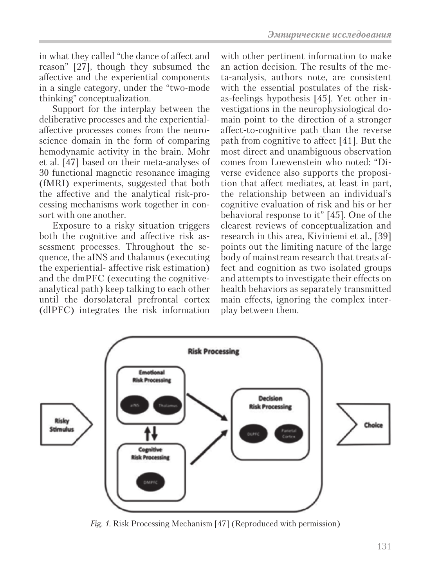in what they called "the dance of affect and reason" [27], though they subsumed the affective and the experiential components in a single category, under the "two-mode thinking" conceptualization.

Support for the interplay between the deliberative processes and the experientialaffective processes comes from the neuroscience domain in the form of comparing hemodynamic activity in the brain. Mohr et al. [47] based on their meta-analyses of 30 functional magnetic resonance imaging (fMRI) experiments, suggested that both the affective and the analytical risk-processing mechanisms work together in consort with one another.

Exposure to a risky situation triggers both the cognitive and affective risk assessment processes. Throughout the sequence, the aINS and thalamus (executing the experiential- affective risk estimation) and the dmPFC (executing the cognitiveanalytical path) keep talking to each other until the dorsolateral prefrontal cortex (dlPFC) integrates the risk information

with other pertinent information to make an action decision. The results of the meta-analysis, authors note, are consistent with the essential postulates of the riskas-feelings hypothesis [45]. Yet other investigations in the neurophysiological domain point to the direction of a stronger affect-to-cognitive path than the reverse path from cognitive to affect [41]. But the most direct and unambiguous observation comes from Loewenstein who noted: "Diverse evidence also supports the proposition that affect mediates, at least in part, the relationship between an individual's cognitive evaluation of risk and his or her behavioral response to it" [45]. One of the clearest reviews of conceptualization and research in this area, Kiviniemi et al., [39] points out the limiting nature of the large body of mainstream research that treats affect and cognition as two isolated groups and attempts to investigate their effects on health behaviors as separately transmitted main effects, ignoring the complex interplay between them.



*Fig. 1.* Risk Processing Mechanism [47] (Reproduced with permission)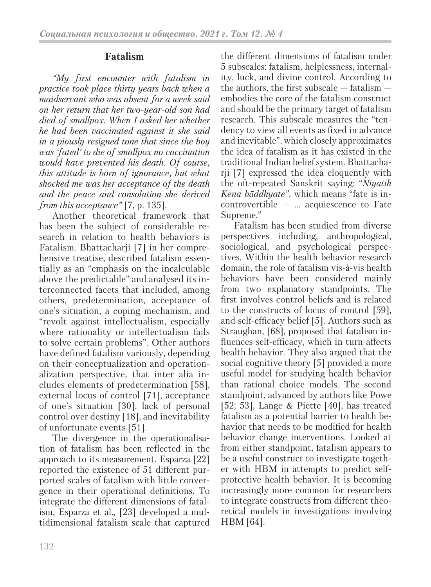## **Fatalism**

*"My first encounter with fatalism in practice took place thirty years back when a maidservant who was absent for a week said on her return that her two-year-old son had died of smallpox. When I asked her whether he had been vaccinated against it she said in a piously resigned tone that since the boy was 'fated' to die of smallpox no vaccination would have prevented his death. Of course, this attitude is born of ignorance, but what shocked me was her acceptance of the death and the peace and consolation she derived from this acceptance"* [7, p. 135].

Another theoretical framework that has been the subject of considerable research in relation to health behaviors is Fatalism. Bhattacharji [7] in her comprehensive treatise, described fatalism essentially as an "emphasis on the incalculable above the predictable" and analysed its interconnected facets that included, among others, predetermination, acceptance of one's situation, a coping mechanism, and "revolt against intellectualism, especially where rationality or intellectualism fails to solve certain problems". Other authors have defined fatalism variously, depending on their conceptualization and operationalization perspective, that inter alia includes elements of predetermination [58], external locus of control [71], acceptance of one's situation [30], lack of personal control over destiny [18], and inevitability of unfortunate events [51].

The divergence in the operationalisation of fatalism has been reflected in the approach to its measurement. Esparza [22] reported the existence of 51 different purported scales of fatalism with little convergence in their operational definitions. To integrate the different dimensions of fatalism, Esparza et al., [23] developed a multidimensional fatalism scale that captured the different dimensions of fatalism under 5 subscales: fatalism, helplessness, internality, luck, and divine control. According to the authors, the first subscale  $-$  fatalism  $$ embodies the core of the fatalism construct and should be the primary target of fatalism research. This subscale measures the "tendency to view all events as fixed in advance and inevitable", which closely approximates the idea of fatalism as it has existed in the traditional Indian belief system. Bhattacharji [7] expressed the idea eloquently with the oft-repeated Sanskrit saying: "*Niyatih Kena bāddhyate"*, which means "fate is in- $\text{controvertible}$  — ... acquiescence to Fate Supreme."

Fatalism has been studied from diverse perspectives including, anthropological, sociological, and psychological perspectives. Within the health behavior research domain, the role of fatalism vis-à-vis health behaviors have been considered mainly from two explanatory standpoints. The first involves control beliefs and is related to the constructs of locus of control [59], and self-efficacy belief [5]. Authors such as Straughan, [68], proposed that fatalism influences self-efficacy, which in turn affects health behavior. They also argued that the social cognitive theory [5] provided a more useful model for studying health behavior than rational choice models. The second standpoint, advanced by authors like Powe [52; 53], Lange & Piette [40], has treated fatalism as a potential barrier to health behavior that needs to be modified for health behavior change interventions. Looked at from either standpoint, fatalism appears to be a useful construct to investigate together with HBM in attempts to predict selfprotective health behavior. It is becoming increasingly more common for researchers to integrate constructs from different theoretical models in investigations involving HBM [64].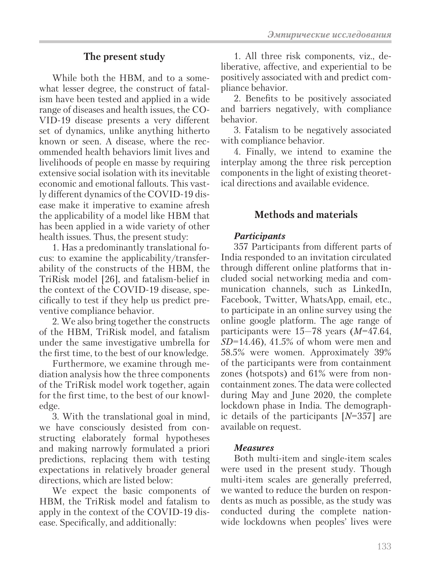### **The present study**

While both the HBM, and to a somewhat lesser degree, the construct of fatalism have been tested and applied in a wide range of diseases and health issues, the CO-VID-19 disease presents a very different set of dynamics, unlike anything hitherto known or seen. A disease, where the recommended health behaviors limit lives and livelihoods of people en masse by requiring extensive social isolation with its inevitable economic and emotional fallouts. This vastly different dynamics of the COVID-19 disease make it imperative to examine afresh the applicability of a model like HBM that has been applied in a wide variety of other health issues. Thus, the present study:

1. Has a predominantly translational focus: to examine the applicability/transferability of the constructs of the HBM, the TriRisk model [26], and fatalism-belief in the context of the COVID-19 disease, specifically to test if they help us predict preventive compliance behavior.

2. We also bring together the constructs of the HBM, TriRisk model, and fatalism under the same investigative umbrella for the first time, to the best of our knowledge.

Furthermore, we examine through mediation analysis how the three components of the TriRisk model work together, again for the first time, to the best of our knowledge.

3. With the translational goal in mind, we have consciously desisted from constructing elaborately formal hypotheses and making narrowly formulated a priori predictions, replacing them with testing expectations in relatively broader general directions, which are listed below:

We expect the basic components of HBM, the TriRisk model and fatalism to apply in the context of the COVID-19 disease. Specifically, and additionally:

1. All three risk components, viz., deliberative, affective, and experiential to be positively associated with and predict compliance behavior.

2. Benefits to be positively associated and barriers negatively, with compliance behavior.

3. Fatalism to be negatively associated with compliance behavior.

4. Finally, we intend to examine the interplay among the three risk perception components in the light of existing theoretical directions and available evidence.

### **Methods and materials**

### *Participants*

357 Participants from different parts of India responded to an invitation circulated through different online platforms that included social networking media and communication channels, such as LinkedIn, Facebook, Twitter, WhatsApp, email, etc., to participate in an online survey using the online google platform. The age range of participants were 15—78 years (*M*=47.64, *SD*=14.46), 41.5% of whom were men and 58.5% were women. Approximately 39% of the participants were from containment zones (hotspots) and 61% were from noncontainment zones. The data were collected during May and June 2020, the complete lockdown phase in India. The demographic details of the participants [*N*=357] are available on request.

#### *Measures*

Both multi-item and single-item scales were used in the present study. Though multi-item scales are generally preferred, we wanted to reduce the burden on respondents as much as possible, as the study was conducted during the complete nationwide lockdowns when peoples' lives were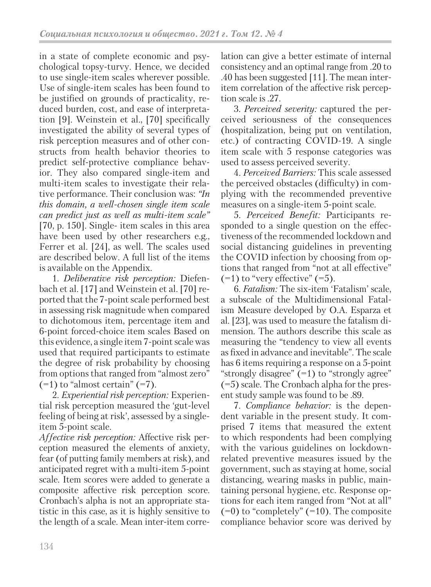in a state of complete economic and psychological topsy-turvy. Hence, we decided to use single-item scales wherever possible. Use of single-item scales has been found to be justified on grounds of practicality, reduced burden, cost, and ease of interpretation [9]. Weinstein et al., [70] specifically investigated the ability of several types of risk perception measures and of other constructs from health behavior theories to predict self-protective compliance behavior. They also compared single-item and multi-item scales to investigate their relative performance. Their conclusion was: *"In this domain, a well-chosen single item scale can predict just as well as multi-item scale"*  [70, p. 150]*.* Single- item scales in this area have been used by other researchers e.g., Ferrer et al. [24], as well. The scales used are described below. A full list of the items is available on the Appendix.

1. *Deliberative risk perception:* Diefenbach et al. [17] and Weinstein et al. [70] reported that the 7-point scale performed best in assessing risk magnitude when compared to dichotomous item, percentage item and 6-point forced-choice item scales Based on this evidence, a single item 7-point scale was used that required participants to estimate the degree of risk probability by choosing from options that ranged from "almost zero"  $(=1)$  to "almost certain"  $(=7)$ .

2. *Experiential risk perception:* Experiential risk perception measured the 'gut-level feeling of being at risk', assessed by a singleitem 5-point scale.

*Affective risk perception:* Affective risk perception measured the elements of anxiety, fear (of putting family members at risk), and anticipated regret with a multi-item 5-point scale. Item scores were added to generate a composite affective risk perception score. Cronbach's alpha is not an appropriate statistic in this case, as it is highly sensitive to the length of a scale. Mean inter-item correlation can give a better estimate of internal consistency and an optimal range from .20 to .40 has been suggested [11]. The mean interitem correlation of the affective risk perception scale is .27.

3. *Perceived severity:* captured the perceived seriousness of the consequences (hospitalization, being put on ventilation, etc.) of contracting COVID-19. A single item scale with 5 response categories was used to assess perceived severity.

4. *Perceived Barriers:* This scale assessed the perceived obstacles (difficulty) in complying with the recommended preventive measures on a single-item 5-point scale.

5. *Perceived Benefit:* Participants responded to a single question on the effectiveness of the recommended lockdown and social distancing guidelines in preventing the COVID infection by choosing from options that ranged from "not at all effective"  $(-1)$  to "very effective"  $(-5)$ .

6. *Fatalism:* The six-item 'Fatalism' scale, a subscale of the Multidimensional Fatalism Measure developed by O.A. Esparza et al. [23], was used to measure the fatalism dimension. The authors describe this scale as measuring the "tendency to view all events as fixed in advance and inevitable". The scale has 6 items requiring a response on a 5-point "strongly disagree"  $(=1)$  to "strongly agree" (=5) scale. The Cronbach alpha for the present study sample was found to be .89.

7. *Compliance behavior:* is the dependent variable in the present study. It comprised 7 items that measured the extent to which respondents had been complying with the various guidelines on lockdownrelated preventive measures issued by the government, such as staying at home, social distancing, wearing masks in public, maintaining personal hygiene, etc. Response options for each item ranged from "Not at all"  $(=0)$  to "completely"  $(=10)$ . The composite compliance behavior score was derived by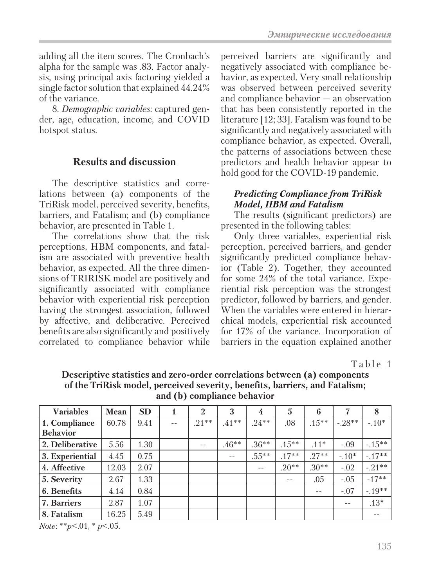adding all the item scores. The Cronbach's alpha for the sample was .83. Factor analysis, using principal axis factoring yielded a single factor solution that explained 44.24% of the variance.

8. *Demographic variables:* captured gender, age, education, income, and COVID hotspot status.

## **Results and discussion**

The descriptive statistics and correlations between (a) components of the TriRisk model, perceived severity, benefits, barriers, and Fatalism; and (b) compliance behavior, are presented in Table 1.

The correlations show that the risk perceptions, HBM components, and fatalism are associated with preventive health behavior, as expected. All the three dimensions of TRIRISK model are positively and significantly associated with compliance behavior with experiential risk perception having the strongest association, followed by affective, and deliberative. Perceived benefits are also significantly and positively correlated to compliance behavior while perceived barriers are significantly and negatively associated with compliance behavior, as expected. Very small relationship was observed between perceived severity and compliance behavior — an observation that has been consistently reported in the literature [12; 33]. Fatalism was found to be significantly and negatively associated with compliance behavior, as expected. Overall, the patterns of associations between these predictors and health behavior appear to hold good for the COVID-19 pandemic.

### *Predicting Compliance from TriRisk Model, HBM and Fatalism*

The results (significant predictors) are presented in the following tables:

Only three variables, experiential risk perception, perceived barriers, and gender significantly predicted compliance behavior (Table 2). Together, they accounted for some 24% of the total variance. Experiential risk perception was the strongest predictor, followed by barriers, and gender. When the variables were entered in hierarchical models, experiential risk accounted for 17% of the variance. Incorporation of barriers in the equation explained another

Table 1

**Descriptive statistics and zero-order correlations between (a) components of the TriRisk model, perceived severity, benefits, barriers, and Fatalism; and (b) compliance behavior**

| <b>Variables</b>   | <b>Mean</b> | <b>SD</b> |     | $\overline{2}$ | 3       | 4        | 5        | 6        | 7       | 8        |
|--------------------|-------------|-----------|-----|----------------|---------|----------|----------|----------|---------|----------|
| 1. Compliance      | 60.78       | 9.41      | $-$ | $.21***$       | $.41**$ | $24**$   | .08      | $.15***$ | $-28**$ | $-.10*$  |
| <b>Behavior</b>    |             |           |     |                |         |          |          |          |         |          |
| 2. Deliberative    | 5.56        | 1.30      |     | $ -$           | $.46**$ | $.36**$  | $.15***$ | $.11*$   | $-.09$  | $-15**$  |
| 3. Experiential    | 4.45        | 0.75      |     |                | $- -$   | $.55***$ | $.17**$  | $.27**$  | $-.10*$ | $-17**$  |
| 4. Affective       | 12.03       | 2.07      |     |                |         | $-$      | $.20**$  | $.30**$  | $-.02$  | $-21**$  |
| 5. Severity        | 2.67        | 1.33      |     |                |         |          | $- -$    | .05      | $-.05$  | $-17**$  |
| 6. Benefits        | 4.14        | 0.84      |     |                |         |          |          | $-$      | $-.07$  | $-.19**$ |
| <b>7. Barriers</b> | 2.87        | 1.07      |     |                |         |          |          |          | $- -$   | $.13*$   |
| 8. Fatalism        | 16.25       | 5.49      |     |                |         |          |          |          |         |          |

*Note*: \*\**p*<.01, \* *p*<.05.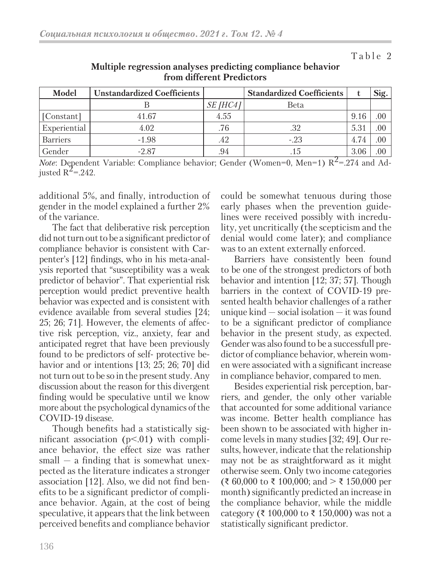### Table 2

| Model           | <b>Unstandardized Coefficients</b> |          | <b>Standardized Coefficients</b> |      | Sig. |
|-----------------|------------------------------------|----------|----------------------------------|------|------|
|                 |                                    | SE [HC4] | Beta                             |      |      |
| [Constant]      | 41.67                              | 4.55     |                                  | 9.16 | .00  |
| Experiential    | 4.02                               | .76      | .32                              | 5.31 | .00  |
| <b>Barriers</b> | $-1.98$                            | .42      | $-.23$                           | 4.74 | 00   |
| Gender          | $-2.87$                            | .94      | .15                              | 3.06 | 00.  |

### **Multiple regression analyses predicting compliance behavior from different Predictors**

*Note*: Dependent Variable: Compliance behavior; Gender (Women=0, Men=1)  $R^2$ =.274 and Adjusted  $R^2$ =.242.

additional 5%, and finally, introduction of gender in the model explained a further 2% of the variance.

The fact that deliberative risk perception did not turn out to be a significant predictor of compliance behavior is consistent with Carpenter's [12] findings, who in his meta-analysis reported that "susceptibility was a weak predictor of behavior". That experiential risk perception would predict preventive health behavior was expected and is consistent with evidence available from several studies [24; 25; 26; 71]. However, the elements of affective risk perception, viz., anxiety, fear and anticipated regret that have been previously found to be predictors of self- protective behavior and or intentions [13; 25; 26; 70] did not turn out to be so in the present study. Any discussion about the reason for this divergent finding would be speculative until we know more about the psychological dynamics of the COVID-19 disease.

Though benefits had a statistically significant association  $(p<0.01)$  with compliance behavior, the effect size was rather  $small - a finding that is somewhat unex$ pected as the literature indicates a stronger association [12]. Also, we did not find benefits to be a significant predictor of compliance behavior. Again, at the cost of being speculative, it appears that the link between perceived benefits and compliance behavior could be somewhat tenuous during those early phases when the prevention guidelines were received possibly with incredulity, yet uncritically (the scepticism and the denial would come later); and compliance was to an extent externally enforced.

Barriers have consistently been found to be one of the strongest predictors of both behavior and intention [12; 37; 57]. Though barriers in the context of COVID-19 presented health behavior challenges of a rather unique kind — social isolation — it was found to be a significant predictor of compliance behavior in the present study, as expected. Gender was also found to be a successfull predictor of compliance behavior, wherein women were associated with a significant increase in compliance behavior, compared to men.

Besides experiential risk perception, barriers, and gender, the only other variable that accounted for some additional variance was income. Better health compliance has been shown to be associated with higher income levels in many studies [32; 49]. Our results, however, indicate that the relationship may not be as straightforward as it might otherwise seem. Only two income categories (₹ 60,000 to ₹ 100,000; and > ₹ 150,000 per month) significantly predicted an increase in the compliance behavior, while the middle category (₹ 100,000 to ₹ 150,000) was not a statistically significant predictor.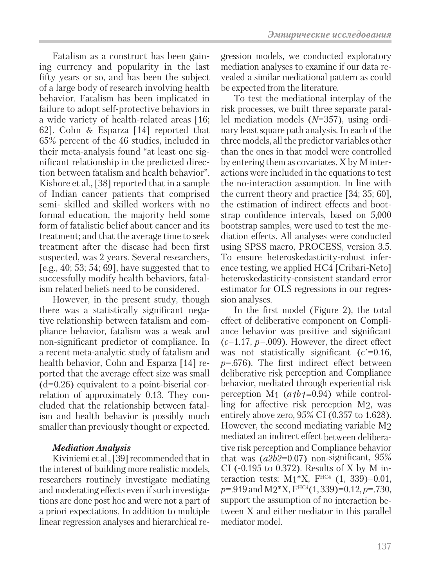Fatalism as a construct has been gaining currency and popularity in the last fifty years or so, and has been the subject of a large body of research involving health behavior. Fatalism has been implicated in failure to adopt self-protective behaviors in a wide variety of health-related areas [16; 62]. Cohn & Esparza [14] reported that 65% percent of the 46 studies, included in their meta-analysis found "at least one significant relationship in the predicted direction between fatalism and health behavior". Kishore et al., [38] reported that in a sample of Indian cancer patients that comprised semi- skilled and skilled workers with no formal education, the majority held some form of fatalistic belief about cancer and its treatment; and that the average time to seek treatment after the disease had been first suspected, was 2 years. Several researchers, [e.g., 40; 53; 54; 69], have suggested that to successfully modify health behaviors, fatalism related beliefs need to be considered.

However, in the present study, though there was a statistically significant negative relationship between fatalism and compliance behavior, fatalism was a weak and non-significant predictor of compliance. In a recent meta-analytic study of fatalism and health behavior, Cohn and Esparza [14] reported that the average effect size was small  $(d=0.26)$  equivalent to a point-biserial correlation of approximately 0.13. They concluded that the relationship between fatalism and health behavior is possibly much smaller than previously thought or expected.

### *Mediation Analysis*

Kiviniemi et al., [39] recommended that in the interest of building more realistic models, researchers routinely investigate mediating and moderating effects even if such investigations are done post hoc and were not a part of a priori expectations. In addition to multiple linear regression analyses and hierarchical regression models, we conducted exploratory mediation analyses to examine if our data revealed a similar mediational pattern as could be expected from the literature.

To test the mediational interplay of the risk processes, we built three separate parallel mediation models (*N*=357), using ordinary least square path analysis. In each of the three models, all the predictor variables other than the ones in that model were controlled by entering them as covariates. X by M interactions were included in the equations to test the no-interaction assumption. In line with the current theory and practice [34; 35; 60], the estimation of indirect effects and bootstrap confidence intervals, based on 5,000 bootstrap samples, were used to test the mediation effects. All analyses were conducted using SPSS macro, PROCESS, version 3.5. To ensure heteroskedasticity-robust inference testing, we applied HC4 [Cribari-Neto] heteroskedasticity-consistent standard error estimator for OLS regressions in our regression analyses.

In the first model (Figure 2), the total effect of deliberative component on Compliance behavior was positive and significant  $(c=1.17, p=.009)$ . However, the direct effect was not statistically significant ( $c$ <sup> $=$ 0.16,</sup> *p*=.676). The first indirect effect between deliberative risk perception and Compliance behavior, mediated through experiential risk perception M1 (*a1b1=*0.94) while controlling for affective risk perception M2, was entirely above zero, 95% CI (0.357 to 1.628). However, the second mediating variable M2 mediated an indirect effect between deliberative risk perception and Compliance behavior that was (*a2b2*=0.07) non-significant, 95% CI (-0.195 to 0.372). Results of X by M interaction tests:  $M1*X$ ,  $F^{HCA}$  (1, 339)=0.01, *p*=.919 and M2\*X, FHC4(1, 339)=0.12, *p*=.730, support the assumption of no interaction between X and either mediator in this parallel mediator model.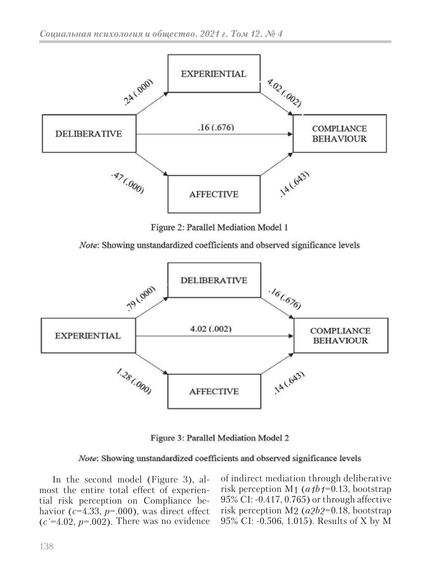

Figure 2: Parallel Mediation Model 1

Note: Showing unstandardized coefficients and observed significance levels



Figure 3: Parallel Mediation Model 2

### Note: Showing unstandardized coefficients and observed significance levels

In the second model (Figure 3), almost the entire total effect of experiential risk perception on Compliance behavior ( $c=4.33$ ,  $p=.000$ ), was direct effect  $(c' = 4.02, p = .002)$ . There was no evidence

of indirect mediation through deliberative risk perception M1 (*a1b1*=0.13, bootstrap 95% CI: -0.417, 0.765) or through affective risk perception M2 (*a2b2*=0.18, bootstrap 95% CI: -0.506, 1.015). Results of X by M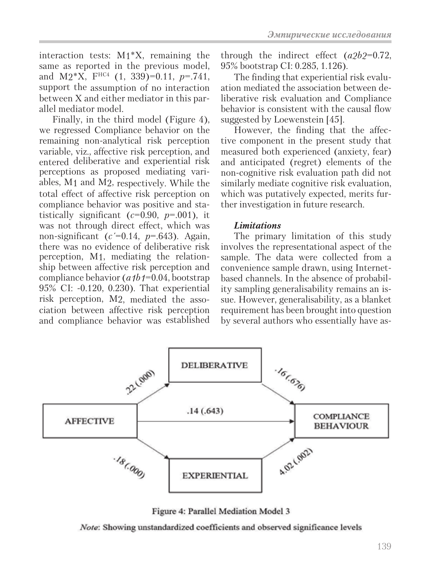interaction tests: M1\*X, remaining the same as reported in the previous model, and M2\*X, FHC4 (1, 339)=0.11, *p*=.741, support the assumption of no interaction between X and either mediator in this parallel mediator model.

Finally, in the third model (Figure 4), we regressed Compliance behavior on the remaining non-analytical risk perception variable, viz., affective risk perception, and entered deliberative and experiential risk perceptions as proposed mediating variables, M1 and M2, respectively. While the total effect of affective risk perception on compliance behavior was positive and statistically significant  $(c=0.90, p=.001)$ , it was not through direct effect, which was non-significant ( $c$ <sup> $=$ </sup>0.14,  $p$  $=$ .643). Again, there was no evidence of deliberative risk perception, M1, mediating the relationship between affective risk perception and compliance behavior (*a1b1*=0.04, bootstrap 95% CI: -0.120, 0.230). That experiential risk perception, M2, mediated the association between affective risk perception and compliance behavior was established

through the indirect effect (*a2b2*=0.72, 95% bootstrap CI: 0.285, 1.126).

The finding that experiential risk evaluation mediated the association between deliberative risk evaluation and Compliance behavior is consistent with the causal flow suggested by Loewenstein [45].

However, the finding that the affective component in the present study that measured both experienced (anxiety, fear) and anticipated (regret) elements of the non-cognitive risk evaluation path did not similarly mediate cognitive risk evaluation, which was putatively expected, merits further investigation in future research.

### *Limitations*

The primary limitation of this study involves the representational aspect of the sample. The data were collected from a convenience sample drawn, using Internetbased channels. In the absence of probability sampling generalisability remains an issue. However, generalisability, as a blanket requirement has been brought into question by several authors who essentially have as-



Figure 4: Parallel Mediation Model 3

Note: Showing unstandardized coefficients and observed significance levels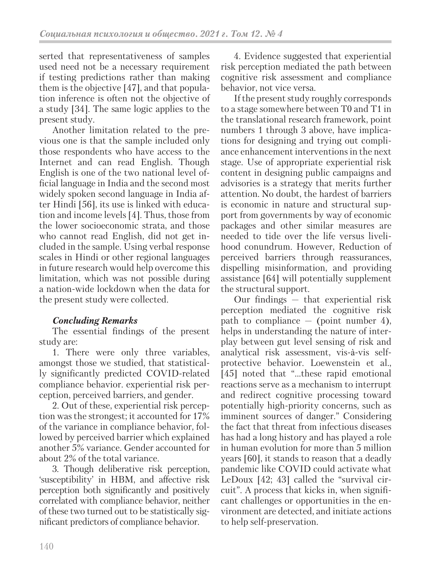serted that representativeness of samples used need not be a necessary requirement if testing predictions rather than making them is the objective [47], and that population inference is often not the objective of a study [34]. The same logic applies to the present study.

Another limitation related to the previous one is that the sample included only those respondents who have access to the Internet and can read English. Though English is one of the two national level official language in India and the second most widely spoken second language in India after Hindi [56], its use is linked with education and income levels [4]. Thus, those from the lower socioeconomic strata, and those who cannot read English, did not get included in the sample. Using verbal response scales in Hindi or other regional languages in future research would help overcome this limitation, which was not possible during a nation-wide lockdown when the data for the present study were collected.

## *Concluding Remarks*

The essential findings of the present study are:

1. There were only three variables, amongst those we studied, that statistically significantly predicted COVID-related compliance behavior. experiential risk perception, perceived barriers, and gender.

2. Out of these, experiential risk perception was the strongest; it accounted for 17% of the variance in compliance behavior, followed by perceived barrier which explained another 5% variance. Gender accounted for about 2% of the total variance.

3. Though deliberative risk perception, 'susceptibility' in HBM, and affective risk perception both significantly and positively correlated with compliance behavior, neither of these two turned out to be statistically significant predictors of compliance behavior.

4. Evidence suggested that experiential risk perception mediated the path between cognitive risk assessment and compliance behavior, not vice versa.

If the present study roughly corresponds to a stage somewhere between T0 and T1 in the translational research framework, point numbers 1 through 3 above, have implications for designing and trying out compliance enhancement interventions in the next stage. Use of appropriate experiential risk content in designing public campaigns and advisories is a strategy that merits further attention. No doubt, the hardest of barriers is economic in nature and structural support from governments by way of economic packages and other similar measures are needed to tide over the life versus livelihood conundrum. However, Reduction of perceived barriers through reassurances, dispelling misinformation, and providing assistance [64] will potentially supplement the structural support.

Our findings — that experiential risk perception mediated the cognitive risk path to compliance  $-$  (point number 4), helps in understanding the nature of interplay between gut level sensing of risk and analytical risk assessment, vis-à-vis selfprotective behavior. Loewenstein et al., [45] noted that "...these rapid emotional reactions serve as a mechanism to interrupt and redirect cognitive processing toward potentially high-priority concerns, such as imminent sources of danger." Considering the fact that threat from infectious diseases has had a long history and has played a role in human evolution for more than 5 million years [60], it stands to reason that a deadly pandemic like COVID could activate what LeDoux [42; 43] called the "survival circuit". A process that kicks in, when significant challenges or opportunities in the environment are detected, and initiate actions to help self-preservation.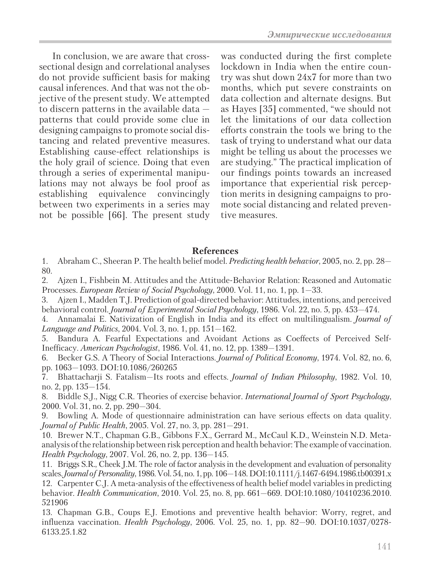In conclusion, we are aware that crosssectional design and correlational analyses do not provide sufficient basis for making causal inferences. And that was not the objective of the present study. We attempted to discern patterns in the available data patterns that could provide some clue in designing campaigns to promote social distancing and related preventive measures. Establishing cause-effect relationships is the holy grail of science. Doing that even through a series of experimental manipulations may not always be fool proof as establishing equivalence convincingly between two experiments in a series may not be possible [66]. The present study was conducted during the first complete lockdown in India when the entire country was shut down 24x7 for more than two months, which put severe constraints on data collection and alternate designs. But as Hayes [35] commented, "we should not let the limitations of our data collection efforts constrain the tools we bring to the task of trying to understand what our data might be telling us about the processes we are studying." The practical implication of our findings points towards an increased importance that experiential risk perception merits in designing campaigns to promote social distancing and related preventive measures.

### **References**

1. Abraham C., Sheeran P. The health belief model. *Predicting health behavior*, 2005, no. 2, pp. 28— 80.

2. Ajzen I., Fishbein M. Attitudes and the Attitude-Behavior Relation: Reasoned and Automatic Processes. *European Review of Social Psychology*, 2000. Vol. 11, no. 1, pp. 1—33.

- 3. Ajzen I., Madden T.J. Prediction of goal-directed behavior: Attitudes, intentions, and perceived behavioral control. *Journal of Experimental Social Psychology*, 1986. Vol. 22, no. 5, pp. 453—474.
- 4. Annamalai E. Nativization of English in India and its effect on multilingualism. *Journal of Language and Politics*, 2004. Vol. 3, no. 1, pp. 151—162.

5. Bandura A. Fearful Expectations and Avoidant Actions as Coeffects of Perceived Self-Inefficacy. *American Psychologist*, 1986. Vol. 41, no*.* 12, pp. 1389—1391.

6. Becker G.S. A Theory of Social Interactions. *Journal of Political Economy*, 1974. Vol. 82, no. 6, pp. 1063—1093. DOI:10.1086/260265

7. Bhattacharji S. Fatalism—Its roots and effects. *Journal of Indian Philosophy*, 1982. Vol. 10, no. 2, pp. 135—154.

8. Biddle S.J., Nigg C.R. Theories of exercise behavior. *International Journal of Sport Psychology*, 2000. Vol. 31, no. 2, pp. 290—304.

9. Bowling A. Mode of questionnaire administration can have serious effects on data quality. *Journal of Public Health*, 2005. Vol. 27, no. 3, pp. 281—291.

10. Brewer N.T., Chapman G.B., Gibbons F.X., Gerrard M., McCaul K.D., Weinstein N.D. Metaanalysis of the relationship between risk perception and health behavior: The example of vaccination. *Health Psychology*, 2007. Vol. 26, no. 2, pp. 136—145.

11. Briggs S.R., Cheek J.M. The role of factor analysis in the development and evaluation of personality scales. *Journal of Personality*, 1986. Vol. 54, no. 1, pp. 106—148. DOI:10.1111/j.1467-6494.1986.tb00391.x 12. Carpenter C.J. A meta-analysis of the effectiveness of health belief model variables in predicting behavior. *Health Communication*, 2010. Vol. 25, no. 8, pp. 661—669. DOI:10.1080/10410236.2010. 521906

13. Chapman G.B., Coups E.J. Emotions and preventive health behavior: Worry, regret, and influenza vaccination. *Health Psychology*, 2006. Vol. 25, no. 1, pp. 82—90. DOI:10.1037/0278- 6133.25.1.82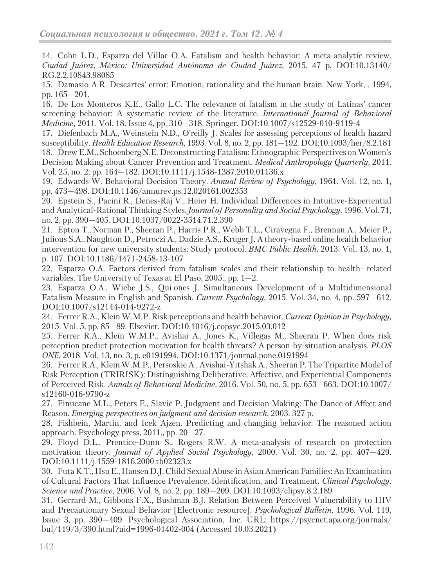14. Cohn L.D., Esparza del Villar O.A. Fatalism and health behavior: A meta-analytic review. *Ciudad Juárez, México: Universidad Autónoma de Ciudad Juárez,* 2015. 47 p. DOI:10.13140/ RG.2.2.10843.98085

15. Damasio A.R. Descartes' error: Emotion, rationality and the human brain. New York, . 1994, pp. 165—201.

16. De Los Monteros K.E., Gallo L.C. The relevance of fatalism in the study of Latinas' cancer screening behavior: A systematic review of the literature. *International Journal of Behavioral Medicine,* 2011*.* Vol. 18, Issue 4, pp. 310—318. Springer. DOI:10.1007/s12529-010-9119-4

17. Diefenbach M.A., Weinstein N.D., O'reilly J. Scales for assessing perceptions of health hazard susceptibility. *Health Education Research*, 1993. Vol. 8, no. 2, pp. 181—192. DOI:10.1093/her/8.2.181 18. Drew E.M., Schoenberg N.E. Deconstructing Fatalism: Ethnographic Perspectives on Women's Decision Making about Cancer Prevention and Treatment. *Medical Anthropology Quarterly*, 2011. Vol. 25, no. 2, pp. 164—182. DOI:10.1111/j.1548-1387.2010.01136.x

19. Edwards W. Behavioral Decision Theory. *Annual Review of Psychology*, 1961. Vol. 12, no. 1, pp. 473—498. DOI:10.1146/annurev.ps.12.020161.002353

20. Epstein S., Pacini R., Denes-Raj V., Heier H. Individual Differences in Intuitive-Experiential and Analytical-Rational Thinking Styles. *Journal of Personality and Social Psychology*, 1996. Vol. 71, no. 2, pp. 390—405. DOI:10.1037/0022-3514.71.2.390

21. Epton T., Norman P., Sheeran P., Harris P.R., Webb T.L., Ciravegna F., Brennan A., Meier P., Julious S.A., Naughton D., Petroczi A., Dadzie A.S., Kruger J. A theory-based online health behavior intervention for new university students: Study protocol. *BMC Public Health*, 2013. Vol. 13, no. 1, p. 107. DOI:10.1186/1471-2458-13-107

22. Esparza O.A. Factors derived from fatalism scales and their relationship to health- related variables. The University of Texas at El Paso, 2005., pp. 1—2.

23. Esparza O.A., Wiebe J.S., Qui ones J. Simultaneous Development of a Multidimensional Fatalism Measure in English and Spanish. *Current Psychology*, 2015. Vol. 34, no. 4, pp. 597—612. DOI:10.1007/s12144-014-9272-z

24. Ferrer R.A., Klein W.M.P. Risk perceptions and health behavior. *Current Opinion in Psychology,*  2015. Vol. 5, pp. 85—89. Elsevier. DOI:10.1016/j.copsyc.2015.03.012

25. Ferrer R.A., Klein W.M.P., Avishai A., Jones K., Villegas M., Sheeran P. When does risk perception predict protection motivation for health threats? A person-by-situation analysis. *PLOS ONE*, 2018. Vol. 13, no. 3, p. e0191994. DOI:10.1371/journal.pone.0191994

26. Ferrer R.A., Klein W.M.P., Persoskie A., Avishai-Yitshak A., Sheeran P. The Tripartite Model of Risk Perception (TRIRISK): Distinguishing Deliberative, Affective, and Experiential Components of Perceived Risk. *Annals of Behavioral Medicine*, 2016. Vol. 50, no. 5, pp. 653—663. DOI:10.1007/ s12160-016-9790-z

27. Finucane M.L., Peters E., Slavic P. Judgment and Decision Making: The Dance of Affect and Reason. *Emerging perspectives on judgment and decision research*, 2003. 327 p.

28. Fishbein, Martin, and Icek Ajzen. Predicting and changing behavior: The reasoned action approach. Psychology press, 2011., pp. 20—27.

29. Floyd D.L., Prentice-Dunn S., Rogers R.W. A meta-analysis of research on protection motivation theory. *Journal of Applied Social Psychology*, 2000. Vol. 30, no. 2, pp. 407—429. DOI:10.1111/j.1559-1816.2000.tb02323.x

30. Futa K.T., Hsu E., Hansen D.J. Child Sexual Abuse in Asian American Families: An Examination of Cultural Factors That Influence Prevalence, Identification, and Treatment. *Clinical Psychology: Science and Practice*, 2006. Vol. 8, no. 2, pp. 189—209. DOI:10.1093/clipsy.8.2.189

31. Gerrard M., Gibbons F.X., Bushman B.J. Relation Between Perceived Vulnerability to HIV and Precautionary Sexual Behavior [Electronic resource]. *Psychological Bulletin,* 1996. Vol. 119, Issue 3, pp. 390—409. Psychological Association, Inc. URL: https://psycnet.apa.org/journals/ bul/119/3/390.html?uid=1996-01402-004 (Accessed 10.03.2021)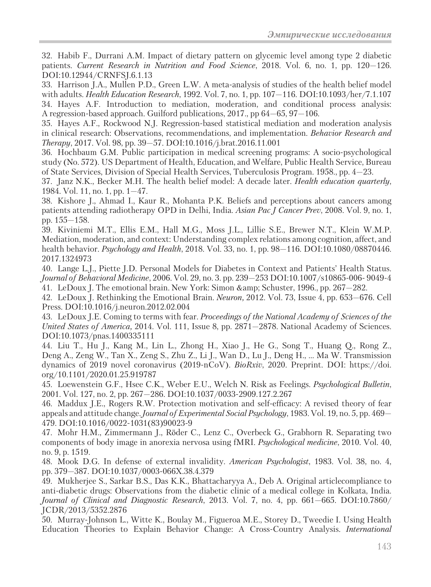32. Habib F., Durrani A.M. Impact of dietary pattern on glycemic level among type 2 diabetic patients. *Current Research in Nutrition and Food Science*, 2018. Vol. 6, no. 1, pp. 120—126. DOI:10.12944/CRNFSJ.6.1.13

33. Harrison J.A., Mullen P.D., Green L.W. A meta-analysis of studies of the health belief model with adults. *Health Education Research*, 1992. Vol. 7, no. 1, pp. 107—116. DOI:10.1093/her/7.1.107 34. Hayes A.F. Introduction to mediation, moderation, and conditional process analysis: A regression-based approach. Guilford publications, 2017., pp 64—65, 97—106.

35. Hayes A.F., Rockwood N.J. Regression-based statistical mediation and moderation analysis in clinical research: Observations, recommendations, and implementation. *Behavior Research and Therapy*, 2017. Vol. 98, pp. 39—57. DOI:10.1016/j.brat.2016.11.001

36. Hochbaum G.M. Public participation in medical screening programs: A socio-psychological study (No. 572). US Department of Health, Education, and Welfare, Public Health Service, Bureau of State Services, Division of Special Health Services, Tuberculosis Program. 1958., pp. 4—23.

37. Janz N.K., Becker M.H. The health belief model: A decade later. *Health education quarterly*, 1984. Vol. 11, no. 1, pp. 1—47.

38. Kishore J., Ahmad I., Kaur R., Mohanta P.K. Beliefs and perceptions about cancers among patients attending radiotherapy OPD in Delhi, India. *Asian Pac J Cancer Prev*, 2008. Vol. 9, no. 1, pp. 155—158.

39. Kiviniemi M.T., Ellis E.M., Hall M.G., Moss J.L., Lillie S.E., Brewer N.T., Klein W.M.P. Mediation, moderation, and context: Understanding complex relations among cognition, affect, and health behavior. *Psychology and Health*, 2018. Vol. 33, no. 1, pp. 98—116. DOI:10.1080/08870446. 2017.1324973

40. Lange L.J., Piette J.D. Personal Models for Diabetes in Context and Patients' Health Status. *Journal of Behavioral Medicine*, 2006. Vol. 29, no. 3. pp. 239—253 DOI:10.1007/s10865-006- 9049-4 41. LeDoux J. The emotional brain. New York: Simon & Schuster, 1996., pp. 267—282.

42. LeDoux J. Rethinking the Emotional Brain. *Neuron,* 2012*.* Vol. 73, Issue 4, pp. 653—676. Cell Press. DOI:10.1016/j.neuron.2012.02.004

43. LeDoux J.E. Coming to terms with fear. *Proceedings of the National Academy of Sciences of the United States of America,* 2014*.* Vol. 111, Issue 8, pp. 2871—2878. National Academy of Sciences. DOI:10.1073/pnas.1400335111

44. Liu T., Hu J., Kang M., Lin L., Zhong H., Xiao J., He G., Song T., Huang Q., Rong Z., Deng A., Zeng W., Tan X., Zeng S., Zhu Z., Li J., Wan D., Lu J., Deng H., … Ma W. Transmission dynamics of 2019 novel coronavirus (2019-nCoV). *BioRxiv*, 2020. Preprint. DOI: https://doi. org/10.1101/2020.01.25.919787

45. Loewenstein G.F., Hsee C.K., Weber E.U., Welch N. Risk as Feelings. *Psychological Bulletin*, 2001. Vol. 127, no. 2, pp. 267—286. DOI:10.1037/0033-2909.127.2.267

46. Maddux J.E., Rogers R.W. Protection motivation and self-efficacy: A revised theory of fear appeals and attitude change. *Journal of Experimental Social Psychology*, 1983. Vol. 19, no. 5, pp. 469— 479. DOI:10.1016/0022-1031(83)90023-9

47. Mohr H.M., Zimmermann J., Röder C., Lenz C., Overbeck G., Grabhorn R. Separating two components of body image in anorexia nervosa using fMRI. *Psychological medicine*, 2010. Vol. 40, no. 9, p. 1519.

48. Mook D.G. In defense of external invalidity. *American Psychologist*, 1983. Vol. 38, no. 4, pp. 379—387. DOI:10.1037/0003-066X.38.4.379

49. Mukherjee S., Sarkar B.S., Das K.K., Bhattacharyya A., Deb A. Original articlecompliance to anti-diabetic drugs: Observations from the diabetic clinic of a medical college in Kolkata, India. *Journal of Clinical and Diagnostic Research*, 2013. Vol. 7, no*.* 4, pp. 661—665. DOI:10.7860/ JCDR/2013/5352.2876

50. Murray-Johnson L., Witte K., Boulay M., Figueroa M.E., Storey D., Tweedie I. Using Health Education Theories to Explain Behavior Change: A Cross-Country Analysis. *International*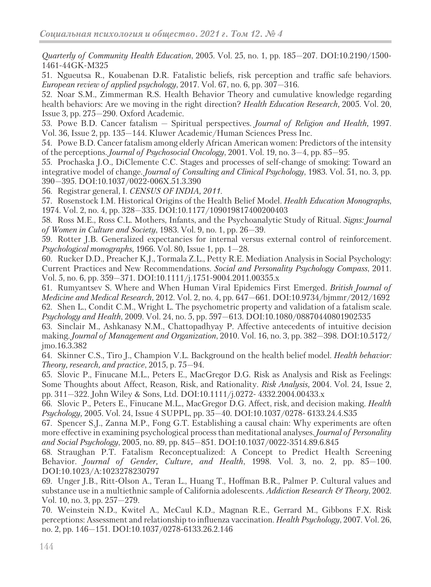*Quarterly of Community Health Education*, 2005. Vol. 25, no. 1, pp. 185—207. DOI:10.2190/1500- 1461-44GK-M325

51. Ngueutsa R., Kouabenan D.R. Fatalistic beliefs, risk perception and traffic safe behaviors. *European review of applied psychology*, 2017. Vol. 67, no. 6, pp. 307—316.

52. Noar S.M., Zimmerman R.S. Health Behavior Theory and cumulative knowledge regarding health behaviors: Are we moving in the right direction? *Health Education Research,* 2005*.* Vol. 20, Issue 3, pp. 275—290. Oxford Academic.

53. Powe B.D. Cancer fatalism — Spiritual perspectives. *Journal of Religion and Health,* 1997. Vol. 36, Issue 2, pp. 135—144. Kluwer Academic/Human Sciences Press Inc.

54. Powe B.D. Cancer fatalism among elderly African American women: Predictors of the intensity of the perceptions. *Journal of Psychosocial Oncology*, 2001. Vol. 19, no. 3—4, pp. 85—95.

55. Prochaska J.O., DiClemente C.C. Stages and processes of self-change of smoking: Toward an integrative model of change. *Journal of Consulting and Clinical Psychology*, 1983. Vol. 51, no. 3, pp. 390—395. DOI:10.1037/0022-006X.51.3.390

56. Registrar general, I. *CENSUS OF INDIA, 2011*.

57. Rosenstock I.M. Historical Origins of the Health Belief Model. *Health Education Monographs*, 1974. Vol. 2, no. 4, pp. 328—335. DOI:10.1177/109019817400200403

58. Ross M.E., Ross C.L. Mothers, Infants, and the Psychoanalytic Study of Ritual. *Signs: Journal of Women in Culture and Society*, 1983. Vol. 9, no. 1, pp. 26—39.

59. Rotter J.B. Generalized expectancies for internal versus external control of reinforcement. *Psychological monographs,* 1966*.* Vol. 80, Issue 1, pp. 1—28.

60. Rucker D.D., Preacher K.J., Tormala Z.L., Petty R.E. Mediation Analysis in Social Psychology: Current Practices and New Recommendations. *Social and Personality Psychology Compass*, 2011. Vol. 5, no. 6, pp. 359—371. DOI:10.1111/j.1751-9004.2011.00355.x

61. Rumyantsev S. Where and When Human Viral Epidemics First Emerged. *British Journal of Medicine and Medical Research*, 2012. Vol. 2, no. 4, pp. 647—661. DOI:10.9734/bjmmr/2012/1692 62. Shen L., Condit C.M., Wright L. The psychometric property and validation of a fatalism scale. *Psychology and Health*, 2009. Vol. 24, no. 5, pp. 597—613. DOI:10.1080/08870440801902535

63. Sinclair M., Ashkanasy N.M., Chattopadhyay P. Affective antecedents of intuitive decision making. *Journal of Management and Organization*, 2010. Vol. 16, no. 3, pp. 382—398. DOI:10.5172/ jmo.16.3.382

64. Skinner C.S., Tiro J., Champion V.L. Background on the health belief model. *Health behavior: Theory, research, and practice*, 2015, p. 75—94.

65. Slovic P., Finucane M.L., Peters E., MacGregor D.G. Risk as Analysis and Risk as Feelings: Some Thoughts about Affect, Reason, Risk, and Rationality. *Risk Analysis,* 2004*.* Vol. 24, Issue 2, pp. 311—322. John Wiley & Sons, Ltd. DOI:10.1111/j.0272- 4332.2004.00433.x

66. Slovic P., Peters E., Finucane M.L., MacGregor D.G. Affect, risk, and decision making. *Health Psychology,* 2005. Vol. 24, Issue 4 SUPPL, pp. 35—40. DOI:10.1037/0278- 6133.24.4.S35

67. Spencer S.J., Zanna M.P., Fong G.T. Establishing a causal chain: Why experiments are often more effective in examining psychological process than meditational analyses. *Journal of Personality and Social Psychology*, 2005, no. 89, pp. 845—851. DOI:10.1037/0022-3514.89.6.845

68. Straughan P.T. Fatalism Reconceptualized: A Concept to Predict Health Screening Behavior. *Journal of Gender, Culture, and Health*, 1998. Vol. 3, no. 2, pp. 85—100. DOI:10.1023/A:1023278230797

69. Unger J.B., Ritt-Olson A., Teran L., Huang T., Hoffman B.R., Palmer P. Cultural values and substance use in a multiethnic sample of California adolescents. *Addiction Research & Theory*, 2002. Vol. 10, no. 3, pp. 257—279.

70. Weinstein N.D., Kwitel A., McCaul K.D., Magnan R.E., Gerrard M., Gibbons F.X. Risk perceptions: Assessment and relationship to influenza vaccination. *Health Psychology*, 2007. Vol. 26, no. 2, pp. 146—151. DOI:10.1037/0278-6133.26.2.146